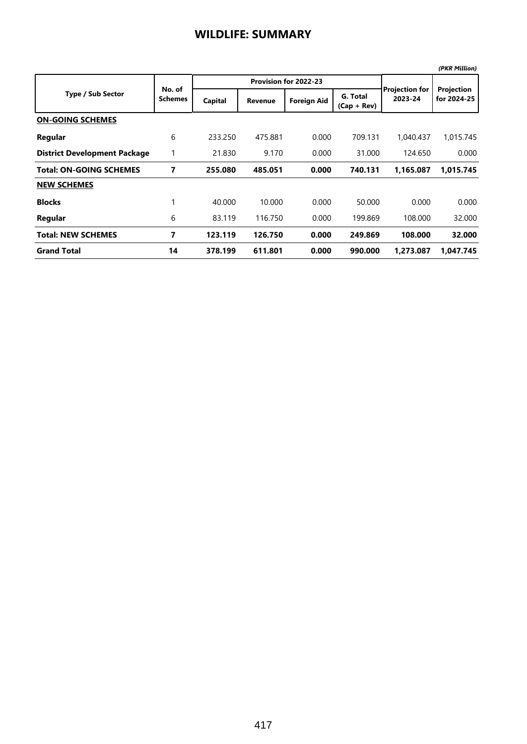|                                     |                          |         |                       |                    |                           |                                  | (PKR Million)             |
|-------------------------------------|--------------------------|---------|-----------------------|--------------------|---------------------------|----------------------------------|---------------------------|
|                                     | No. of<br><b>Schemes</b> |         | Provision for 2022-23 |                    |                           |                                  |                           |
| <b>Type / Sub Sector</b>            |                          | Capital | <b>Revenue</b>        | <b>Foreign Aid</b> | G. Total<br>$(Cap + Rev)$ | <b>Projection for</b><br>2023-24 | Projection<br>for 2024-25 |
| <b>ON-GOING SCHEMES</b>             |                          |         |                       |                    |                           |                                  |                           |
| Regular                             | 6                        | 233.250 | 475.881               | 0.000              | 709.131                   | 1,040.437                        | 1,015.745                 |
| <b>District Development Package</b> |                          | 21.830  | 9.170                 | 0.000              | 31.000                    | 124.650                          | 0.000                     |
| <b>Total: ON-GOING SCHEMES</b>      | 7                        | 255.080 | 485.051               | 0.000              | 740.131                   | 1,165.087                        | 1,015.745                 |
| <b>NEW SCHEMES</b>                  |                          |         |                       |                    |                           |                                  |                           |
| <b>Blocks</b>                       |                          | 40.000  | 10.000                | 0.000              | 50.000                    | 0.000                            | 0.000                     |
| Regular                             | 6                        | 83.119  | 116.750               | 0.000              | 199.869                   | 108.000                          | 32.000                    |
| <b>Total: NEW SCHEMES</b>           | 7                        | 123.119 | 126.750               | 0.000              | 249.869                   | 108.000                          | 32.000                    |
| <b>Grand Total</b>                  | 14                       | 378.199 | 611.801               | 0.000              | 990.000                   | 1.273.087                        | 1.047.745                 |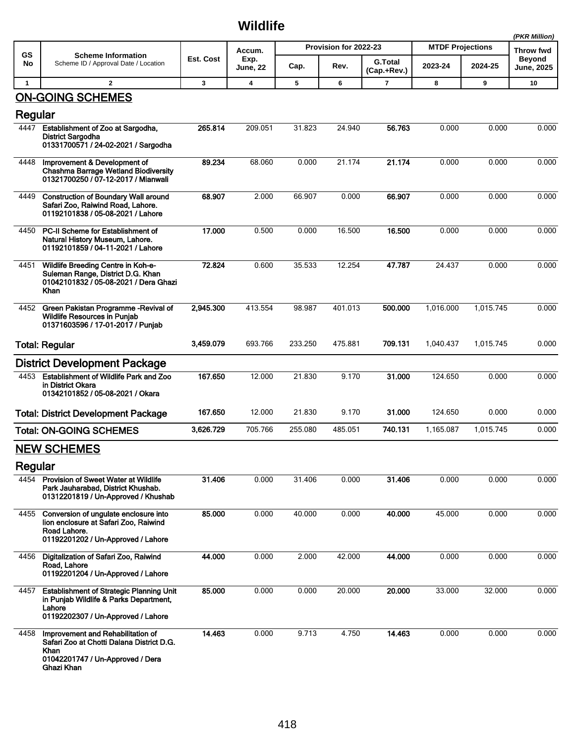## **Wildlife**

|              |                                                                                                                                           |           |                                   |                                         |         |                |                         | (PKR Million) |                            |
|--------------|-------------------------------------------------------------------------------------------------------------------------------------------|-----------|-----------------------------------|-----------------------------------------|---------|----------------|-------------------------|---------------|----------------------------|
| GS<br>No     | <b>Scheme Information</b><br>Scheme ID / Approval Date / Location                                                                         | Est. Cost | Accum.<br>Exp.<br><b>June, 22</b> | Provision for 2022-23<br><b>G.Total</b> |         |                | <b>MTDF Projections</b> |               | Throw fwd<br><b>Beyond</b> |
|              |                                                                                                                                           |           |                                   | Cap.                                    | Rev.    | (Cap.+Rev.)    | 2023-24                 | 2024-25       | <b>June, 2025</b>          |
| $\mathbf{1}$ | $\overline{2}$                                                                                                                            | 3         | $\overline{\mathbf{4}}$           | 5                                       | 6       | $\overline{7}$ | 8                       | 9             | 10                         |
|              | <b>ON-GOING SCHEMES</b>                                                                                                                   |           |                                   |                                         |         |                |                         |               |                            |
| Regular      |                                                                                                                                           |           |                                   |                                         |         |                |                         |               |                            |
| 4447         | Establishment of Zoo at Sargodha,<br><b>District Sargodha</b><br>01331700571 / 24-02-2021 / Sargodha                                      | 265.814   | 209.051                           | 31.823                                  | 24.940  | 56.763         | 0.000                   | 0.000         | 0.000                      |
| 4448         | Improvement & Development of<br>Chashma Barrage Wetland Biodiversity<br>01321700250 / 07-12-2017 / Mianwali                               | 89.234    | 68.060                            | 0.000                                   | 21.174  | 21.174         | 0.000                   | 0.000         | 0.000                      |
| 4449         | <b>Construction of Boundary Wall around</b><br>Safari Zoo, Raiwind Road, Lahore.<br>01192101838 / 05-08-2021 / Lahore                     | 68.907    | 2.000                             | 66.907                                  | 0.000   | 66.907         | 0.000                   | 0.000         | 0.000                      |
| 4450         | PC-II Scheme for Establishment of<br>Natural History Museum, Lahore.<br>01192101859 / 04-11-2021 / Lahore                                 | 17.000    | 0.500                             | 0.000                                   | 16.500  | 16.500         | 0.000                   | 0.000         | 0.000                      |
| 4451         | Wildlife Breeding Centre in Koh-e-<br>Suleman Range, District D.G. Khan<br>01042101832 / 05-08-2021 / Dera Ghazi<br>Khan                  | 72.824    | 0.600                             | 35.533                                  | 12.254  | 47.787         | 24.437                  | 0.000         | 0.000                      |
| 4452         | Green Pakistan Programme -Revival of<br><b>Wildlife Resources in Punjab</b><br>01371603596 / 17-01-2017 / Punjab                          | 2,945.300 | 413.554                           | 98.987                                  | 401.013 | 500.000        | 1,016.000               | 1,015.745     | 0.000                      |
|              | <b>Total: Regular</b>                                                                                                                     | 3,459.079 | 693.766                           | 233.250                                 | 475.881 | 709.131        | 1,040.437               | 1,015.745     | 0.000                      |
|              | <b>District Development Package</b>                                                                                                       |           |                                   |                                         |         |                |                         |               |                            |
| 4453         | <b>Establishment of Wildlife Park and Zoo</b><br>in District Okara<br>01342101852 / 05-08-2021 / Okara                                    | 167.650   | 12.000                            | 21.830                                  | 9.170   | 31.000         | 124.650                 | 0.000         | 0.000                      |
|              | <b>Total: District Development Package</b>                                                                                                | 167.650   | 12.000                            | 21.830                                  | 9.170   | 31.000         | 124.650                 | 0.000         | 0.000                      |
|              | <b>Total: ON-GOING SCHEMES</b>                                                                                                            | 3,626.729 | 705.766                           | 255.080                                 | 485.051 | 740.131        | 1,165.087               | 1,015.745     | 0.000                      |
|              | <b>NEW SCHEMES</b>                                                                                                                        |           |                                   |                                         |         |                |                         |               |                            |
| Regular      |                                                                                                                                           |           |                                   |                                         |         |                |                         |               |                            |
| 4454         | <b>Provision of Sweet Water at Wildlife</b><br>Park Jauharabad. District Khushab.<br>01312201819 / Un-Approved / Khushab                  | 31.406    | 0.000                             | 31.406                                  | 0.000   | 31.406         | 0.000                   | 0.000         | 0.000                      |
| 4455         | Conversion of ungulate enclosure into<br>lion enclosure at Safari Zoo, Raiwind<br>Road Lahore.<br>01192201202 / Un-Approved / Lahore      | 85.000    | 0.000                             | 40.000                                  | 0.000   | 40.000         | 45.000                  | 0.000         | 0.000                      |
| 4456         | Digitalization of Safari Zoo, Raiwind<br>Road. Lahore<br>01192201204 / Un-Approved / Lahore                                               | 44.000    | 0.000                             | 2.000                                   | 42.000  | 44.000         | 0.000                   | 0.000         | 0.000                      |
| 4457         | <b>Establishment of Strategic Planning Unit</b><br>in Punjab Wildlife & Parks Department,<br>Lahore<br>01192202307 / Un-Approved / Lahore | 85.000    | 0.000                             | 0.000                                   | 20.000  | 20.000         | 33.000                  | 32.000        | 0.000                      |
| 4458         | Improvement and Rehabilitation of<br>Safari Zoo at Chotti Dalana District D.G.<br>Khan<br>01042201747 / Un-Approved / Dera<br>Ghazi Khan  | 14.463    | 0.000                             | 9.713                                   | 4.750   | 14.463         | 0.000                   | 0.000         | 0.000                      |